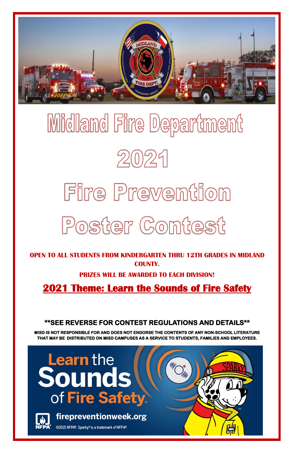

# Midland Fire Department  $2021$

## Fire Prevention Poster Contest

**OPEN TO ALL STUDENTS FROM KINDERGARTEN THRU 12TH GRADES IN MIDLAND COUNTY.** 

**PRIZES WILL BE AWARDED TO EACH DIVISION!**

**2021 Theme: Learn the Sounds of Fire Safety** 

**\*\*SEE REVERSE FOR CONTEST REGULATIONS AND DETAILS\*\*** 

**MISD IS NOT RESPONSIBLE FOR AND DOES NOT ENDORSE THE CONTENTS OF ANY NON-SCHOOL LITERATURE** 

**THAT MAY BE DISTRIBUTED ON MISD CAMPUSES AS A SERVICE TO STUDENTS, FAMILIES AND EMPLOYEES.** 

## **Learn** the Sounds of Fire Safety.



firepreventionweek.org

@2021 NFPA®. Sparky® is a trademark of NFPA®.